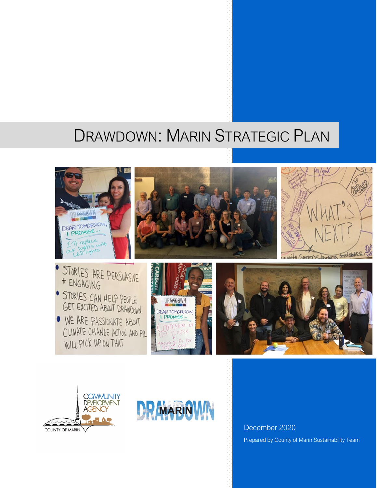# DRAWDOWN: MARIN STRATEGIC PLAN



GET EXCITED ABOUT DRAWDOWN • WE ARE PASSICNATE ABOUT CLIMATE CHANGE ACTION AND PR WILL PICK UP ON THAT









December 2020 Prepared by County of Marin Sustainability Team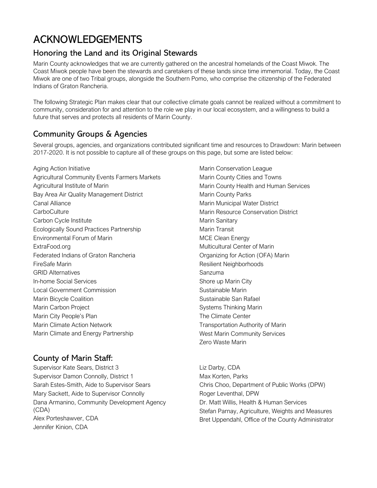## ACKNOWLEDGEMENTS

## Honoring the Land and its Original Stewards

Marin County acknowledges that we are currently gathered on the ancestral homelands of the Coast Miwok. The Coast Miwok people have been the stewards and caretakers of these lands since time immemorial. Today, the Coast Miwok are one of two Tribal groups, alongside the Southern Pomo, who comprise the citizenship of the Federated Indians of Graton Rancheria.

The following Strategic Plan makes clear that our collective climate goals cannot be realized without a commitment to community, consideration for and attention to the role we play in our local ecosystem, and a willingness to build a future that serves and protects all residents of Marin County.

## Community Groups & Agencies

Several groups, agencies, and organizations contributed significant time and resources to Drawdown: Marin between 2017-2020. It is not possible to capture all of these groups on this page, but some are listed below:

Aging Action Initiative Agricultural Community Events Farmers Markets Agricultural Institute of Marin Bay Area Air Quality Management District Canal Alliance **CarboCulture** Carbon Cycle Institute Ecologically Sound Practices Partnership Environmental Forum of Marin ExtraFood.org Federated Indians of Graton Rancheria FireSafe Marin GRID Alternatives In-home Social Services Local Government Commission Marin Bicycle Coalition Marin Carbon Project Marin City People's Plan Marin Climate Action Network Marin Climate and Energy Partnership

## County of Marin Staff:

Supervisor Kate Sears, District 3 Supervisor Damon Connolly, District 1 Sarah Estes-Smith, Aide to Supervisor Sears Mary Sackett, Aide to Supervisor Connolly Dana Armanino, Community Development Agency (CDA) Alex Porteshawver, CDA Jennifer Kinion, CDA

Marin Conservation League Marin County Cities and Towns Marin County Health and Human Services Marin County Parks Marin Municipal Water District Marin Resource Conservation District Marin Sanitary Marin Transit MCE Clean Energy Multicultural Center of Marin Organizing for Action (OFA) Marin Resilient Neighborhoods Sanzuma Shore up Marin City Sustainable Marin Sustainable San Rafael Systems Thinking Marin The Climate Center Transportation Authority of Marin West Marin Community Services Zero Waste Marin

Liz Darby, CDA Max Korten, Parks Chris Choo, Department of Public Works (DPW) Roger Leventhal, DPW Dr. Matt Willis, Health & Human Services Stefan Parnay, Agriculture, Weights and Measures Bret Uppendahl, Office of the County Administrator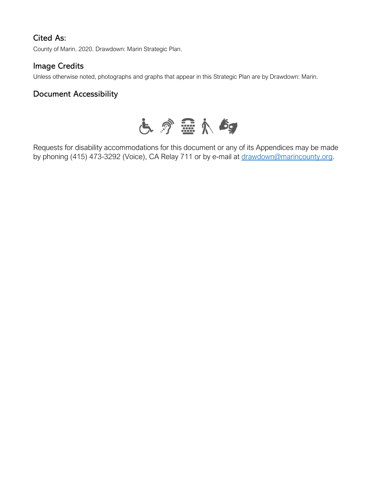## Cited As:

County of Marin. 2020. Drawdown: Marin Strategic Plan.

### Image Credits

Unless otherwise noted, photographs and graphs that appear in this Strategic Plan are by Drawdown: Marin.

### Document Accessibility



Requests for disability accommodations for this document or any of its Appendices may be made by phoning (415) 473-3292 (Voice), CA Relay 711 or by e-mail at [drawdown@marincounty.org.](mailto:drawdown@marincounty.org)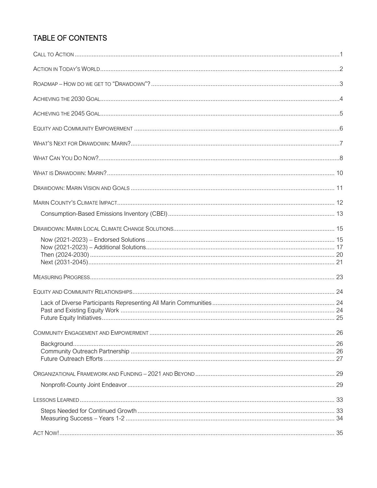## **TABLE OF CONTENTS**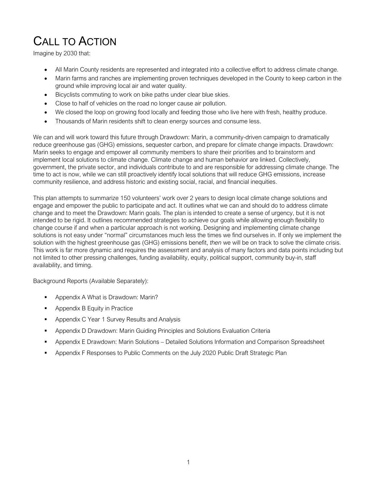# CALL TO ACTION

Imagine by 2030 that:

- All Marin County residents are represented and integrated into a collective effort to address climate change.
- Marin farms and ranches are implementing proven techniques developed in the County to keep carbon in the ground while improving local air and water quality.
- Bicyclists commuting to work on bike paths under clear blue skies.
- Close to half of vehicles on the road no longer cause air pollution.
- We closed the loop on growing food locally and feeding those who live here with fresh, healthy produce.
- Thousands of Marin residents shift to clean energy sources and consume less.

We can and will work toward this future through Drawdown: Marin, a community-driven campaign to dramatically reduce greenhouse gas (GHG) emissions, sequester carbon, and prepare for climate change impacts. Drawdown: Marin seeks to engage and empower all community members to share their priorities and to brainstorm and implement local solutions to climate change. Climate change and human behavior are linked. Collectively, government, the private sector, and individuals contribute to and are responsible for addressing climate change. The time to act is now, while we can still proactively identify local solutions that will reduce GHG emissions, increase community resilience, and address historic and existing social, racial, and financial inequities.

This plan attempts to summarize 150 volunteers' work over 2 years to design local climate change solutions and engage and empower the public to participate and act. It outlines what we can and should do to address climate change and to meet the Drawdown: Marin goals. The plan is intended to create a sense of urgency, but it is not intended to be rigid. It outlines recommended strategies to achieve our goals while allowing enough flexibility to change course if and when a particular approach is not working. Designing and implementing climate change solutions is not easy under "normal" circumstances much less the times we find ourselves in. If only we implement the solution with the highest greenhouse gas (GHG) emissions benefit, *then* we will be on track to solve the climate crisis. This work is far more dynamic and requires the assessment and analysis of many factors and data points including but not limited to other pressing challenges, funding availability, equity, political support, community buy-in, staff availability, and timing.

Background Reports (Available Separately):

- Appendix A What is Drawdown: Marin?
- **Appendix B Equity in Practice**
- Appendix C Year 1 Survey Results and Analysis
- Appendix D Drawdown: Marin Guiding Principles and Solutions Evaluation Criteria
- Appendix E Drawdown: Marin Solutions Detailed Solutions Information and Comparison Spreadsheet
- Appendix F Responses to Public Comments on the July 2020 Public Draft Strategic Plan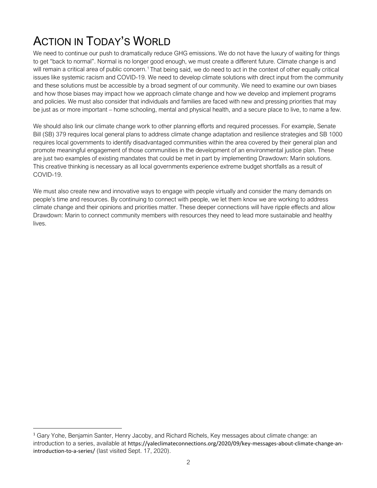# ACTION IN TODAY'S WORLD

We need to continue our push to dramatically reduce GHG emissions. We do not have the luxury of waiting for things to get "back to normal". Normal is no longer good enough, we must create a different future. Climate change is and will remain a critical area of public concern.<sup>[1](#page-6-0)</sup> That being said, we do need to act in the context of other equally critical issues like systemic racism and COVID-19. We need to develop climate solutions with direct input from the community and these solutions must be accessible by a broad segment of our community. We need to examine our own biases and how those biases may impact how we approach climate change and how we develop and implement programs and policies. We must also consider that individuals and families are faced with new and pressing priorities that may be just as or more important – home schooling, mental and physical health, and a secure place to live, to name a few.

We should also link our climate change work to other planning efforts and required processes. For example, Senate Bill (SB) 379 requires local general plans to address climate change adaptation and resilience strategies and SB 1000 requires local governments to identify disadvantaged communities within the area covered by their general plan and promote meaningful engagement of those communities in the development of an environmental justice plan. These are just two examples of existing mandates that could be met in part by implementing Drawdown: Marin solutions. This creative thinking is necessary as all local governments experience extreme budget shortfalls as a result of COVID-19.

We must also create new and innovative ways to engage with people virtually and consider the many demands on people's time and resources. By continuing to connect with people, we let them know we are working to address climate change and their opinions and priorities matter. These deeper connections will have ripple effects and allow Drawdown: Marin to connect community members with resources they need to lead more sustainable and healthy lives.

<span id="page-6-0"></span><sup>1</sup> Gary Yohe, Benjamin Santer, Henry Jacoby, and Richard Richels, Key messages about climate change: an introduction to a series, available at https://yaleclimateconnections.org/2020/09/key-messages-about-climate-change-anintroduction-to-a-series/ (last visited Sept. 17, 2020).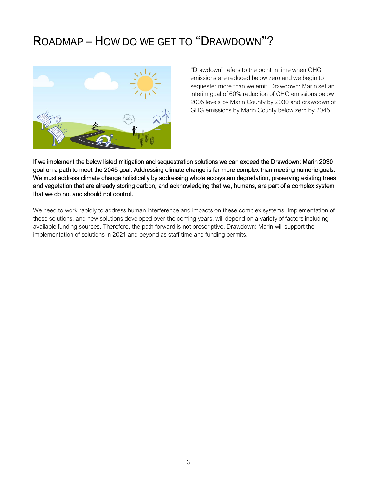## ROADMAP – HOW DO WE GET TO "DRAWDOWN"?



"Drawdown" refers to the point in time when GHG emissions are reduced below zero and we begin to sequester more than we emit. Drawdown: Marin set an interim goal of 60% reduction of GHG emissions below 2005 levels by Marin County by 2030 and drawdown of GHG emissions by Marin County below zero by 2045.

If we implement the below listed mitigation and sequestration solutions we can exceed the Drawdown: Marin 2030 goal on a path to meet the 2045 goal. Addressing climate change is far more complex than meeting numeric goals. We must address climate change holistically by addressing whole ecosystem degradation, preserving existing trees and vegetation that are already storing carbon, and acknowledging that we, humans, are part of a complex system that we do not and should not control.

We need to work rapidly to address human interference and impacts on these complex systems. Implementation of these solutions, and new solutions developed over the coming years, will depend on a variety of factors including available funding sources. Therefore, the path forward is not prescriptive. Drawdown: Marin will support the implementation of solutions in 2021 and beyond as staff time and funding permits.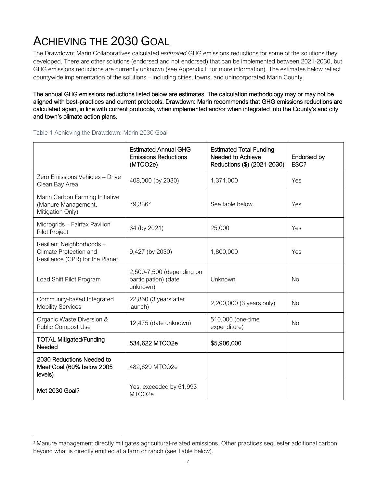# ACHIEVING THE 2030 GOAL

The Drawdown: Marin Collaboratives calculated *estimated* GHG emissions reductions for some of the solutions they developed. There are other solutions (endorsed and not endorsed) that can be implemented between 2021-2030, but GHG emissions reductions are currently unknown (see Appendix E for more information). The estimates below reflect countywide implementation of the solutions – including cities, towns, and unincorporated Marin County.

The annual GHG emissions reductions listed below are estimates. The calculation methodology may or may not be aligned with best-practices and current protocols. Drawdown: Marin recommends that GHG emissions reductions are calculated again, in line with current protocols, when implemented and/or when integrated into the County's and city and town's climate action plans.

|                                                                                       | <b>Estimated Annual GHG</b><br><b>Emissions Reductions</b><br>(MTCO2e) | <b>Estimated Total Funding</b><br>Needed to Achieve<br>Reductions (\$) (2021-2030) | Endorsed by<br>ESC? |
|---------------------------------------------------------------------------------------|------------------------------------------------------------------------|------------------------------------------------------------------------------------|---------------------|
| Zero Emissions Vehicles - Drive<br>Clean Bay Area                                     | 408,000 (by 2030)                                                      | 1,371,000                                                                          | Yes                 |
| Marin Carbon Farming Initiative<br>(Manure Management,<br>Mitigation Only)            | 79,336 <sup>2</sup>                                                    | See table below.                                                                   | Yes                 |
| Microgrids - Fairfax Pavilion<br>Pilot Project                                        | 34 (by 2021)                                                           | 25,000                                                                             | Yes                 |
| Resilient Neighborhoods-<br>Climate Protection and<br>Resilience (CPR) for the Planet | 9,427 (by 2030)                                                        | 1,800,000                                                                          | Yes                 |
| Load Shift Pilot Program                                                              | 2,500-7,500 (depending on<br>participation) (date<br>unknown)          | Unknown                                                                            | <b>No</b>           |
| Community-based Integrated<br><b>Mobility Services</b>                                | 22,850 (3 years after<br>launch)                                       | 2,200,000 (3 years only)                                                           | <b>No</b>           |
| Organic Waste Diversion &<br>Public Compost Use                                       | 12,475 (date unknown)                                                  | 510,000 (one-time<br>expenditure)                                                  | <b>No</b>           |
| <b>TOTAL Mitigated/Funding</b><br>Needed                                              | 534,622 MTCO2e                                                         | \$5,906,000                                                                        |                     |
| 2030 Reductions Needed to<br>Meet Goal (60% below 2005<br>levels)                     | 482,629 MTCO2e                                                         |                                                                                    |                     |
| Met 2030 Goal?                                                                        | Yes, exceeded by 51,993<br>MTCO2e                                      |                                                                                    |                     |

Table 1 Achieving the Drawdown: Marin 2030 Goal

<span id="page-8-0"></span><sup>2</sup> Manure management directly mitigates agricultural-related emissions. Other practices sequester additional carbon beyond what is directly emitted at a farm or ranch (see Table below).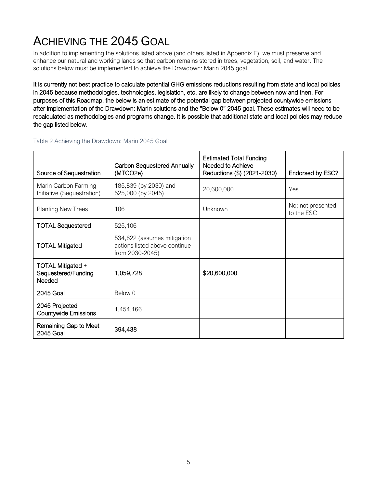# ACHIEVING THE 2045 GOAL

In addition to implementing the solutions listed above (and others listed in Appendix E), we must preserve and enhance our natural and working lands so that carbon remains stored in trees, vegetation, soil, and water. The solutions below must be implemented to achieve the Drawdown: Marin 2045 goal.

It is currently not best practice to calculate potential GHG emissions reductions resulting from state and local policies in 2045 because methodologies, technologies, legislation, etc. are likely to change between now and then. For purposes of this Roadmap, the below is an estimate of the potential gap between projected countywide emissions after implementation of the Drawdown: Marin solutions and the "Below 0" 2045 goal. These estimates will need to be recalculated as methodologies and programs change. It is possible that additional state and local policies may reduce the gap listed below.

| Source of Sequestration                            | <b>Carbon Sequestered Annually</b><br>(MTCO2e)                                  | <b>Estimated Total Funding</b><br>Needed to Achieve<br>Reductions (\$) (2021-2030) | Endorsed by ESC?                |
|----------------------------------------------------|---------------------------------------------------------------------------------|------------------------------------------------------------------------------------|---------------------------------|
| Marin Carbon Farming<br>Initiative (Sequestration) | 185,839 (by 2030) and<br>525,000 (by 2045)                                      | 20,600,000                                                                         | Yes                             |
| <b>Planting New Trees</b>                          | 106                                                                             | Unknown                                                                            | No; not presented<br>to the ESC |
| <b>TOTAL Sequestered</b>                           | 525,106                                                                         |                                                                                    |                                 |
| <b>TOTAL Mitigated</b>                             | 534,622 (assumes mitigation<br>actions listed above continue<br>from 2030-2045) |                                                                                    |                                 |
| TOTAL Mitigated +<br>Sequestered/Funding<br>Needed | 1,059,728                                                                       | \$20,600,000                                                                       |                                 |
| <b>2045 Goal</b>                                   | Below 0                                                                         |                                                                                    |                                 |
| 2045 Projected<br><b>Countywide Emissions</b>      | 1,454,166                                                                       |                                                                                    |                                 |
| Remaining Gap to Meet<br><b>2045 Goal</b>          | 394,438                                                                         |                                                                                    |                                 |

#### Table 2 Achieving the Drawdown: Marin 2045 Goal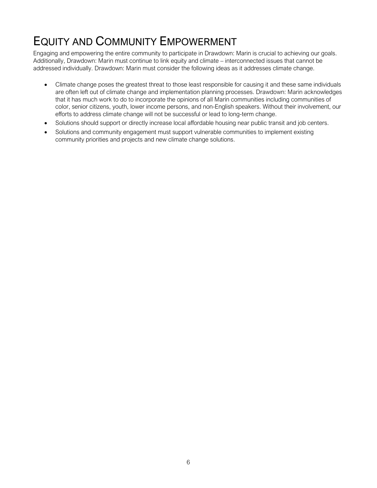# EQUITY AND COMMUNITY EMPOWERMENT

Engaging and empowering the entire community to participate in Drawdown: Marin is crucial to achieving our goals. Additionally, Drawdown: Marin must continue to link equity and climate – interconnected issues that cannot be addressed individually. Drawdown: Marin must consider the following ideas as it addresses climate change.

- Climate change poses the greatest threat to those least responsible for causing it and these same individuals are often left out of climate change and implementation planning processes. Drawdown: Marin acknowledges that it has much work to do to incorporate the opinions of all Marin communities including communities of color, senior citizens, youth, lower income persons, and non-English speakers. Without their involvement, our efforts to address climate change will not be successful or lead to long-term change.
- Solutions should support or directly increase local affordable housing near public transit and job centers.
- Solutions and community engagement must support vulnerable communities to implement existing community priorities and projects and new climate change solutions.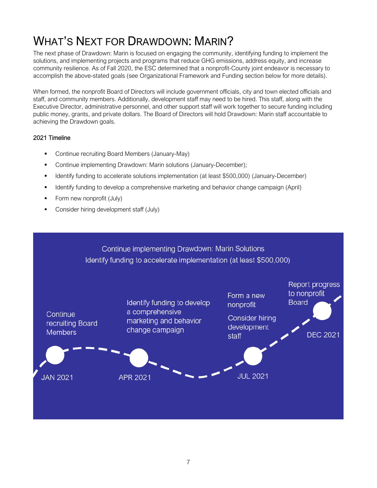# WHAT'S NEXT FOR DRAWDOWN: MARIN?

The next phase of Drawdown: Marin is focused on engaging the community, identifying funding to implement the solutions, and implementing projects and programs that reduce GHG emissions, address equity, and increase community resilience. As of Fall 2020, the ESC determined that a nonprofit-County joint endeavor is necessary to accomplish the above-stated goals (see Organizational Framework and Funding section below for more details).

When formed, the nonprofit Board of Directors will include government officials, city and town elected officials and staff, and community members. Additionally, development staff may need to be hired. This staff, along with the Executive Director, administrative personnel, and other support staff will work together to secure funding including public money, grants, and private dollars. The Board of Directors will hold Drawdown: Marin staff accountable to achieving the Drawdown goals.

#### 2021 Timeline

- Continue recruiting Board Members (January-May)
- Continue implementing Drawdown: Marin solutions (January-December);
- Identify funding to accelerate solutions implementation (at least \$500,000) (January-December)
- Identify funding to develop a comprehensive marketing and behavior change campaign (April)
- Form new nonprofit (July)
- Consider hiring development staff (July)

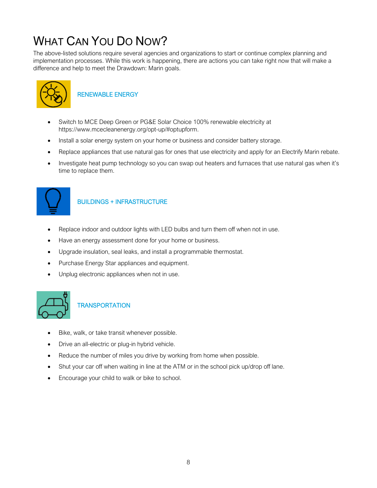# WHAT CAN YOU DO NOW?

The above-listed solutions require several agencies and organizations to start or continue complex planning and implementation processes. While this work is happening, there are actions you can take right now that will make a difference and help to meet the Drawdown: Marin goals.



### RENEWABLE ENERGY

- Switch to MCE Deep Green or PG&E Solar Choice 100% renewable electricity at https://www.mcecleanenergy.org/opt-up/#optupform.
- Install a solar energy system on your home or business and consider battery storage.
- Replace appliances that use natural gas for ones that use electricity and apply for an Electrify Marin rebate.
- Investigate heat pump technology so you can swap out heaters and furnaces that use natural gas when it's time to replace them.



 $\overline{\phantom{a}}$ 

#### BUILDINGS + INFRASTRUCTURE

- Replace indoor and outdoor lights with LED bulbs and turn them off when not in use.
- Have an energy assessment done for your home or business.
- Upgrade insulation, seal leaks, and install a programmable thermostat.
- Purchase Energy Star appliances and equipment.
- Unplug electronic appliances when not in use.



### **TRANSPORTATION**

- Bike, walk, or take transit whenever possible.
- Drive an all-electric or plug-in hybrid vehicle.
- Reduce the number of miles you drive by working from home when possible.
- Shut your car off when waiting in line at the ATM or in the school pick up/drop off lane.
- Encourage your child to walk or bike to school.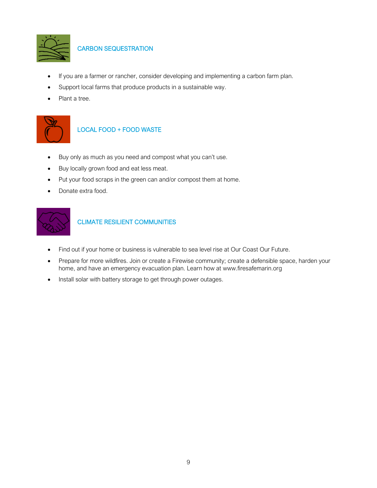

CARBON SEQUESTRATION

- If you are a farmer or rancher, consider developing and implementing a carbon farm plan.
- Support local farms that produce products in a sustainable way.
- Plant a tree.

 $\overline{\phantom{a}}$ 



#### LOCAL FOOD + FOOD WASTE

- Buy only as much as you need and compost what you can't use.
- Buy locally grown food and eat less meat.
- Put your food scraps in the green can and/or compost them at home.
- Donate extra food.



#### CLIMATE RESILIENT COMMUNITIES

- Find out if your home or business is vulnerable to sea level rise at [Our Coast Our Future.](https://data.pointblue.org/apps/ocof/cms/index.php?page=flood-map)
- Prepare for more wildfires. Join or create a Firewise community; create a defensible space, harden your home, and have an emergency evacuation plan. Learn how at [www.firesafemarin.org](http://www.firesafemarin.org/)
- Install solar with battery storage to get through power outages.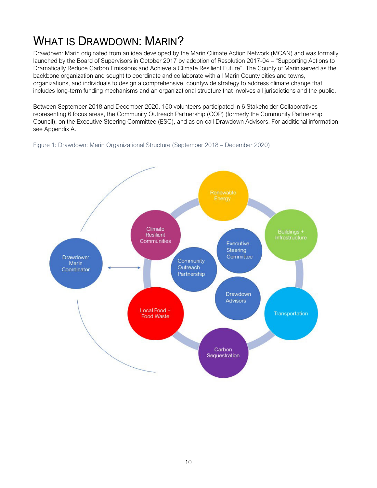# WHAT IS DRAWDOWN: MARIN?

Drawdown: Marin originated from an idea developed by the Marin Climate Action Network (MCAN) and was formally launched by the Board of Supervisors in October 2017 by adoption of Resolution 2017-04 – "Supporting Actions to Dramatically Reduce Carbon Emissions and Achieve a Climate Resilient Future". The County of Marin served as the backbone organization and sought to coordinate and collaborate with all Marin County cities and towns, organizations, and individuals to design a comprehensive, countywide strategy to address climate change that includes long-term funding mechanisms and an organizational structure that involves all jurisdictions and the public.

Between September 2018 and December 2020, 150 volunteers participated in 6 Stakeholder Collaboratives representing 6 focus areas, the Community Outreach Partnership (COP) (formerly the Community Partnership Council), on the Executive Steering Committee (ESC), and as on-call Drawdown Advisors. For additional information, see Appendix A.



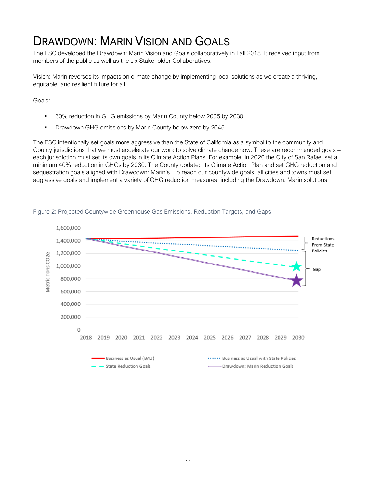## DRAWDOWN: MARIN VISION AND GOALS

The ESC developed the Drawdown: Marin Vision and Goals collaboratively in Fall 2018. It received input from members of the public as well as the six Stakeholder Collaboratives.

Vision: Marin reverses its impacts on climate change by implementing local solutions as we create a thriving, equitable, and resilient future for all.

Goals:

- 60% reduction in GHG emissions by Marin County below 2005 by 2030
- **•** Drawdown GHG emissions by Marin County below zero by 2045

The ESC intentionally set goals more aggressive than the State of California as a symbol to the community and County jurisdictions that we must accelerate our work to solve climate change now. These are recommended goals – each jurisdiction must set its own goals in its Climate Action Plans. For example, in 2020 the City of San Rafael set a minimum 40% reduction in GHGs by 2030. The County updated its Climate Action Plan and set GHG reduction and sequestration goals aligned with Drawdown: Marin's. To reach our countywide goals, all cities and towns must set aggressive goals and implement a variety of GHG reduction measures, including the Drawdown: Marin solutions.

![](_page_15_Figure_7.jpeg)

#### Figure 2: Projected Countywide Greenhouse Gas Emissions, Reduction Targets, and Gaps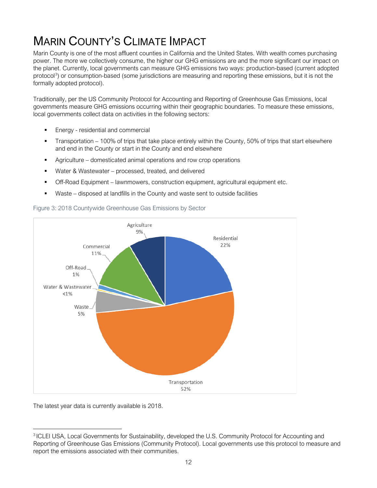# **MARIN COUNTY'S CLIMATE IMPACT**

Marin County is one of the most affluent counties in California and the United States. With wealth comes purchasing power. The more we collectively consume, the higher our GHG emissions are and the more significant our impact on the planet. Currently, local governments can measure GHG emissions two ways: production-based (current adopted protocol<sup>[3](#page-16-0)</sup>) or consumption-based (some jurisdictions are measuring and reporting these emissions, but it is not the formally adopted protocol).

Traditionally, per the US Community Protocol for Accounting and Reporting of Greenhouse Gas Emissions, local governments measure GHG emissions occurring within their geographic boundaries. To measure these emissions, local governments collect data on activities in the following sectors:

- Energy residential and commercial
- **Transportation 100% of trips that take place entirely within the County, 50% of trips that start elsewhere** and end in the County or start in the County and end elsewhere
- Agriculture domesticated animal operations and row crop operations
- Water & Wastewater processed, treated, and delivered
- Off-Road Equipment lawnmowers, construction equipment, agricultural equipment etc.
- Waste disposed at landfills in the County and waste sent to outside facilities

![](_page_16_Figure_9.jpeg)

![](_page_16_Figure_10.jpeg)

The latest year data is currently available is 2018.

<span id="page-16-0"></span><sup>3</sup> ICLEI USA, Local Governments for Sustainability, developed the U.S. Community Protocol for Accounting and Reporting of Greenhouse Gas Emissions (Community Protocol). Local governments use this protocol to measure and report the emissions associated with their communities.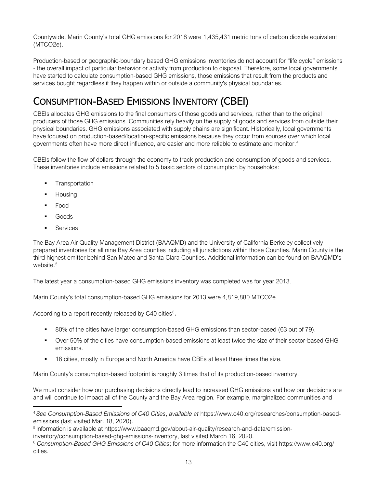Countywide, Marin County's total GHG emissions for 2018 were 1,435,431 metric tons of carbon dioxide equivalent (MTCO2e).

Production-based or geographic-boundary based GHG emissions inventories do not account for "life cycle" emissions - the overall impact of particular behavior or activity from production to disposal. Therefore, some local governments have started to calculate consumption-based GHG emissions, those emissions that result from the products and services bought regardless if they happen within or outside a community's physical boundaries.

## CONSUMPTION-BASED EMISSIONS INVENTORY (CBEI)

CBEIs allocates GHG emissions to the final consumers of those goods and services, rather than to the original producers of those GHG emissions. Communities rely heavily on the supply of goods and services from outside their physical boundaries. GHG emissions associated with supply chains are significant. Historically, local governments have focused on production-based/location-specific emissions because they occur from sources over which local governments often have more direct influence, are easier and more reliable to estimate and monitor.[4](#page-17-0)

CBEIs follow the flow of dollars through the economy to track production and consumption of goods and services. These inventories include emissions related to 5 basic sectors of consumption by households:

- **Transportation**
- **Housing**
- Food
- Goods
- Services

The Bay Area Air Quality Management District (BAAQMD) and the University of California Berkeley collectively prepared inventories for all nine Bay Area counties including all jurisdictions within those Counties. Marin County is the third highest emitter behind San Mateo and Santa Clara Counties. Additional information can be found on BAAQMD's website.<sup>[5](#page-17-1)</sup>

The latest year a consumption-based GHG emissions inventory was completed was for year 2013.

Marin County's total consumption-based GHG emissions for 2013 were 4,819,880 MTCO2e.

According to a report recently released by C40 cities<sup>[6](#page-17-2)</sup>,

- 80% of the cities have larger consumption-based GHG emissions than sector-based (63 out of 79).
- Over 50% of the cities have consumption-based emissions at least twice the size of their sector-based GHG emissions.
- 16 cities, mostly in Europe and North America have CBEs at least three times the size.

Marin County's consumption-based footprint is roughly 3 times that of its production-based inventory.

We must consider how our purchasing decisions directly lead to increased GHG emissions and how our decisions are and will continue to impact all of the County and the Bay Area region. For example, marginalized communities and

<span id="page-17-0"></span><sup>4</sup> *See Consumption-Based Emissions of C40 Cities*, *available at* https://www.c40.org/researches/consumption-basedemissions (last visited Mar. 18, 2020).

<span id="page-17-1"></span><sup>5</sup> Information is available at https://www.baaqmd.gov/about-air-quality/research-and-data/emission-

<span id="page-17-2"></span>inventory/consumption-based-ghg-emissions-inventory, last visited March 16, 2020.<br><sup>6</sup> Consumption-Based GHG Emissions of C40 Cities; for more information the C40 cities, visit https://www.c40.org/ cities.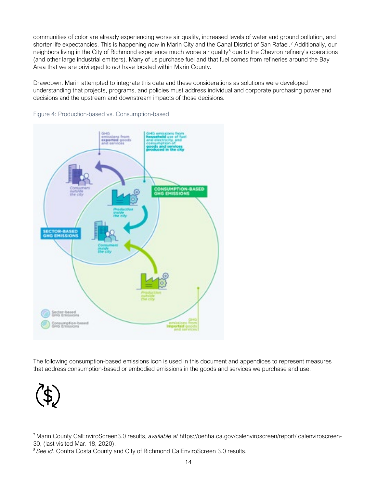communities of color are already experiencing worse air quality, increased levels of water and ground pollution, and shorter life expectancies. This is happening *now* in Marin City and the Canal District of San Rafael. [7](#page-18-0) Additionally, our neighbors living in the City of Richmond experience much worse air quality<sup>[8](#page-18-1)</sup> due to the Chevron refinery's operations (and other large industrial emitters). Many of us purchase fuel and that fuel comes from refineries around the Bay Area that we are privileged to *not* have located within Marin County.

Drawdown: Marin attempted to integrate this data and these considerations as solutions were developed understanding that projects, programs, and policies must address individual and corporate purchasing power and decisions and the upstream and downstream impacts of those decisions.

![](_page_18_Figure_2.jpeg)

Figure 4: Production-based vs. Consumption-based

The following consumption-based emissions icon is used in this document and appendices to represent measures that address consumption-based or embodied emissions in the goods and services we purchase and use.

![](_page_18_Picture_5.jpeg)

<sup>7</sup> Marin County CalEnviroScreen3.0 results, *available at* https://oehha.ca.gov/calenviroscreen/report/ calenviroscreen-30, (last visited Mar. 18, 2020).

<span id="page-18-1"></span><span id="page-18-0"></span><sup>&</sup>lt;sup>8</sup> See id. Contra Costa County and City of Richmond CalEnviroScreen 3.0 results.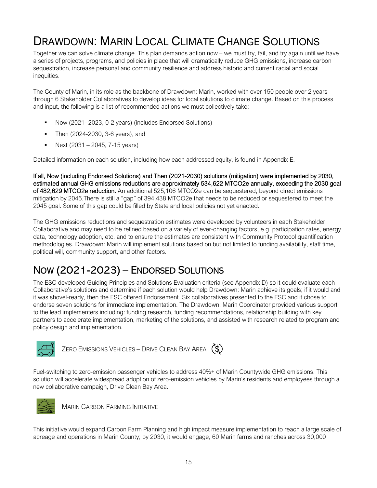## DRAWDOWN: MARIN LOCAL CLIMATE CHANGE SOLUTIONS

Together we can solve climate change. This plan demands action now – we must try, fail, and try again until we have a series of projects, programs, and policies in place that will dramatically reduce GHG emissions, increase carbon sequestration, increase personal and community resilience and address historic and current racial and social inequities.

The County of Marin, in its role as the backbone of Drawdown: Marin, worked with over 150 people over 2 years through 6 Stakeholder Collaboratives to develop ideas for local solutions to climate change. Based on this process and input, the following is a list of recommended actions we must collectively take:

- Now (2021- 2023, 0-2 years) (includes Endorsed Solutions)
- Then (2024-2030, 3-6 years), and
- Next (2031 2045, 7-15 years)

Detailed information on each solution, including how each addressed equity, is found in Appendix E.

If all, Now (including Endorsed Solutions) and Then (2021-2030) solutions (mitigation) were implemented by 2030, estimated annual GHG emissions reductions are approximately 534,622 MTCO2e annually, exceeding the 2030 goal of 482,629 MTCO2e reduction. An additional 525,106 MTCO2e can be sequestered, beyond direct emissions mitigation by 2045.There is still a "gap" of 394,438 MTCO2e that needs to be reduced or sequestered to meet the 2045 goal. Some of this gap could be filled by State and local policies not yet enacted.

The GHG emissions reductions and sequestration estimates were developed by volunteers in each Stakeholder Collaborative and may need to be refined based on a variety of ever-changing factors, e.g. participation rates, energy data, technology adoption, etc. and to ensure the estimates are consistent with Community Protocol quantification methodologies. Drawdown: Marin will implement solutions based on but not limited to funding availability, staff time, political will, community support, and other factors.

## NOW (2021-2023) – ENDORSED SOLUTIONS

The ESC developed Guiding Principles and Solutions Evaluation criteria (see Appendix D) so it could evaluate each Collaborative's solutions and determine if each solution would help Drawdown: Marin achieve its goals; if it would and it was shovel-ready, then the ESC offered Endorsement. Six collaboratives presented to the ESC and it chose to endorse seven solutions for immediate implementation. The Drawdown: Marin Coordinator provided various support to the lead implementers including: funding research, funding recommendations, relationship building with key partners to accelerate implementation, marketing of the solutions, and assisted with research related to program and policy design and implementation.

![](_page_19_Picture_11.jpeg)

ZERO EMISSIONS VEHICLES – DRIVE CLEAN BAY AREA  $(\text{\textcircled{\$}})$ 

Fuel-switching to zero-emission passenger vehicles to address 40%+ of Marin Countywide GHG emissions. This solution will accelerate widespread adoption of zero-emission vehicles by Marin's residents and employees through a new collaborative campaign, Drive Clean Bay Area.

![](_page_19_Picture_14.jpeg)

MARIN CARBON FARMING INITIATIVE

This initiative would expand Carbon Farm Planning and high impact measure implementation to reach a large scale of acreage and operations in Marin County; by 2030, it would engage, 60 Marin farms and ranches across 30,000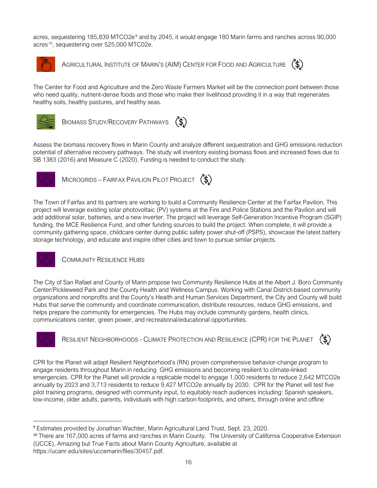acres, sequestering 185,83[9](#page-20-0) MTCO2e<sup>9</sup> and by 2045, it would engage 180 Marin farms and ranches across 90,000 acres<sup>[10](#page-20-1)</sup>, sequestering over 525,000 MTC02e.

![](_page_20_Picture_1.jpeg)

AGRICULTURAL INSTITUTE OF MARIN'S (AIM) CENTER FOR FOOD AND AGRICULTURE  $(\text{\$})$ 

![](_page_20_Picture_3.jpeg)

The Center for Food and Agriculture and the Zero Waste Farmers Market will be the connection point between those who need quality, nutrient-dense foods and those who make their livelihood providing it in a way that regenerates healthy soils, healthy pastures, and healthy seas.

![](_page_20_Picture_5.jpeg)

BIOMASS STUDY/RECOVERY PATHWAYS  $(5)$ 

Assess the biomass recovery flows in Marin County and analyze different sequestration and GHG emissions reduction potential of alternative recovery pathways. The study will inventory existing biomass flows and increased flows due to SB 1383 (2016) and Measure C (2020). Funding is needed to conduct the study.

![](_page_20_Picture_8.jpeg)

MICROGRIDS – FAIRFAX PAVILION PILOT PROJECT (\$)

The Town of Fairfax and its partners are working to build a Community Resilience Center at the Fairfax Pavilion. This project will leverage existing solar photovoltaic (PV) systems at the Fire and Police Stations and the Pavilion and will add additional solar, batteries, and a new inverter. The project will leverage Self-Generation Incentive Program (SGIP) funding, the MCE Resilience Fund, and other funding sources to build the project. When complete, it will provide a community gathering space, childcare center during public safety power shut-off (PSPS), showcase the latest battery storage technology, and educate and inspire other cities and town to pursue similar projects.

![](_page_20_Picture_11.jpeg)

COMMUNITY RESILIENCE HUBS

The City of San Rafael and County of Marin propose two Community Resilience Hubs at the Albert J. Boro Community Center/Pickleweed Park and the County Health and Wellness Campus. Working with Canal District-based community organizations and nonprofits and the County's Health and Human Services Department, the City and County will build Hubs that serve the community and coordinate communication, distribute resources, reduce GHG emissions, and helps prepare the community for emergencies. The Hubs may include community gardens, health clinics, communications center, green power, and recreational/educational opportunities.

![](_page_20_Picture_14.jpeg)

RESILIENT NEIGHBORHOODS - CLIMATE PROTECTION AND RESILIENCE (CPR) FOR THE PLANET

![](_page_20_Picture_16.jpeg)

CPR for the Planet will adapt Resilient Neighborhood's (RN) proven comprehensive behavior-change program to engage residents throughout Marin in reducing GHG emissions and becoming resilient to climate-linked emergencies. CPR for the Planet will provide a replicable model to engage 1,000 residents to reduce 2,642 MTCO2e annually by 2023 and 3,713 residents to reduce 9,427 MTCO2e annually by 2030. CPR for the Planet will test five pilot training programs, designed with community input, to equitably reach audiences including: Spanish speakers, low-income, older adults, parents, individuals with high carbon footprints, and others, through online and offline

<span id="page-20-0"></span><sup>9</sup> Estimates provided by Jonathan Wachter, Marin Agricultural Land Trust, Sept. 23, 2020.

<span id="page-20-1"></span><sup>&</sup>lt;sup>10</sup> There are 167,000 acres of farms and ranches in Marin County. The University of California Cooperative Extension (UCCE), Amazing but True Facts about Marin County Agriculture, available at https://ucanr.edu/sites/uccemarin/files/30457.pdf.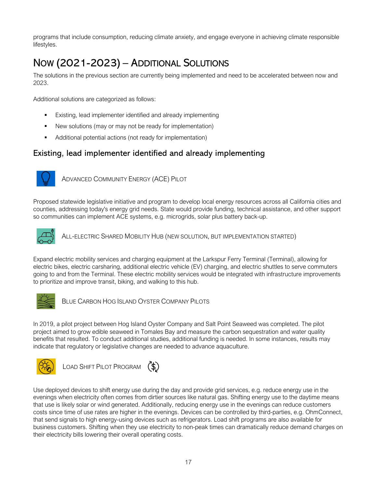programs that include consumption, reducing climate anxiety, and engage everyone in achieving climate responsible lifestyles.

## NOW (2021-2023) – ADDITIONAL SOLUTIONS

The solutions in the previous section are currently being implemented and need to be accelerated between now and 2023.

Additional solutions are categorized as follows:

- Existing, lead implementer identified and already implementing
- New solutions (may or may not be ready for implementation)
- Additional potential actions (not ready for implementation)

### Existing, lead implementer identified and already implementing

![](_page_21_Picture_8.jpeg)

ADVANCED COMMUNITY ENERGY (ACE) PILOT

Proposed statewide legislative initiative and program to develop local energy resources across all California cities and counties, addressing today's energy grid needs. State would provide funding, technical assistance, and other support so communities can implement ACE systems, e.g. microgrids, solar plus battery back-up.

![](_page_21_Picture_11.jpeg)

ALL-ELECTRIC SHARED MOBILITY HUB (NEW SOLUTION, BUT IMPLEMENTATION STARTED)

Expand electric mobility services and charging equipment at the Larkspur Ferry Terminal (Terminal), allowing for electric bikes, electric carsharing, additional electric vehicle (EV) charging, and electric shuttles to serve commuters going to and from the Terminal. These electric mobility services would be integrated with infrastructure improvements to prioritize and improve transit, biking, and walking to this hub.

![](_page_21_Picture_14.jpeg)

BLUE CARBON HOG ISLAND OYSTER COMPANY PILOTS

In 2019, a pilot project between Hog Island Oyster Company and Salt Point Seaweed was completed. The pilot project aimed to grow edible seaweed in Tomales Bay and measure the carbon sequestration and water quality benefits that resulted. To conduct additional studies, additional funding is needed. In some instances, results may indicate that regulatory or legislative changes are needed to advance aquaculture.

![](_page_21_Picture_17.jpeg)

LOAD SHIFT PILOT PROGRAM (\$)

Use deployed devices to shift energy use during the day and provide grid services, e.g. reduce energy use in the evenings when electricity often comes from dirtier sources like natural gas. Shifting energy use to the daytime means that use is likely solar or wind generated. Additionally, reducing energy use in the evenings can reduce customers costs since time of use rates are higher in the evenings. Devices can be controlled by third-parties, e.g. OhmConnect, that send signals to high energy-using devices such as refrigerators. Load shift programs are also available for business customers. Shifting when they use electricity to non-peak times can dramatically reduce demand charges on their electricity bills lowering their overall operating costs.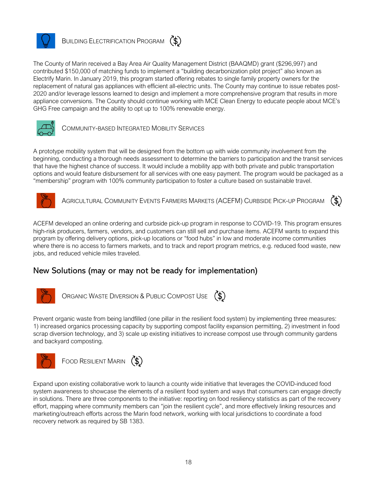![](_page_22_Picture_0.jpeg)

### BUILDING ELECTRIFICATION PROGRAM  $(\text{\$})$

The County of Marin received a Bay Area Air Quality Management District (BAAQMD) grant (\$296,997) and contributed \$150,000 of matching funds to implement a "building decarbonization pilot project" also known as Electrify Marin. In January 2019, this program started offering rebates to single family property owners for the replacement of natural gas appliances with efficient all-electric units. The County may continue to issue rebates post-2020 and/or leverage lessons learned to design and implement a more comprehensive program that results in more appliance conversions. The County should continue working with MCE Clean Energy to educate people about MCE's GHG Free campaign and the ability to opt up to 100% renewable energy.

![](_page_22_Picture_3.jpeg)

COMMUNITY-BASED INTEGRATED MOBILITY SERVICES

A prototype mobility system that will be designed from the bottom up with wide community involvement from the beginning, conducting a thorough needs assessment to determine the barriers to participation and the transit services that have the highest chance of success. It would include a mobility app with both private and public transportation options and would feature disbursement for all services with one easy payment. The program would be packaged as a "membership" program with 100% community participation to foster a culture based on sustainable travel.

![](_page_22_Picture_6.jpeg)

 $(5)$ AGRICULTURAL COMMUNITY EVENTS FARMERS MARKETS (ACEFM) CURBSIDE PICK-UP PROGRAM

ACEFM developed an online ordering and curbside pick-up program in response to COVID-19. This program ensures high-risk producers, farmers, vendors, and customers can still sell and purchase items. ACEFM wants to expand this program by offering delivery options, pick-up locations or "food hubs" in low and moderate income communities where there is no access to farmers markets, and to track and report program metrics, e.g. reduced food waste, new jobs, and reduced vehicle miles traveled.

### New Solutions (may or may not be ready for implementation)

![](_page_22_Picture_10.jpeg)

ORGANIC WASTE DIVERSION & PUBLIC COMPOST USE (\$)

Prevent organic waste from being landfilled (one pillar in the resilient food system) by implementing three measures: 1) increased organics processing capacity by supporting compost facility expansion permitting, 2) investment in food scrap diversion technology, and 3) scale up existing initiatives to increase compost use through community gardens and backyard composting.

![](_page_22_Picture_13.jpeg)

![](_page_22_Picture_14.jpeg)

Expand upon existing collaborative work to launch a county wide initiative that leverages the COVID-induced food system awareness to showcase the elements of a resilient food system and ways that consumers can engage directly in solutions. There are three components to the initiative: reporting on food resiliency statistics as part of the recovery effort, mapping where community members can "join the resilient cycle", and more effectively linking resources and marketing/outreach efforts across the Marin food network, working with local jurisdictions to coordinate a food recovery network as required by SB 1383.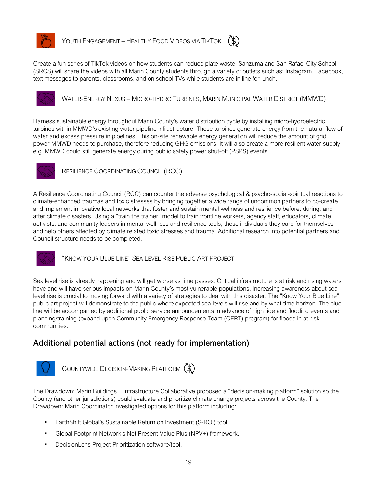![](_page_23_Picture_0.jpeg)

YOUTH ENGAGEMENT – HEALTHY FOOD VIDEOS VIA TIKTOK  $(\$)$ 

Create a fun series of TikTok videos on how students can reduce plate waste. Sanzuma and San Rafael City School (SRCS) will share the videos with all Marin County students through a variety of outlets such as: Instagram, Facebook, text messages to parents, classrooms, and on school TVs while students are in line for lunch.

![](_page_23_Picture_4.jpeg)

WATER-ENERGY NEXUS – MICRO-HYDRO TURBINES, MARIN MUNICIPAL WATER DISTRICT (MMWD)

Harness sustainable energy throughout Marin County's water distribution cycle by installing micro-hydroelectric turbines within MMWD's existing water pipeline infrastructure. These turbines generate energy from the natural flow of water and excess pressure in pipelines. This on-site renewable energy generation will reduce the amount of grid power MMWD needs to purchase, therefore reducing GHG emissions. It will also create a more resilient water supply, e.g. MMWD could still generate energy during public safety power shut-off (PSPS) events.

![](_page_23_Picture_7.jpeg)

RESILIENCE COORDINATING COUNCIL (RCC)

A Resilience Coordinating Council (RCC) can counter the adverse psychological & psycho-social-spiritual reactions to climate-enhanced traumas and toxic stresses by bringing together a wide range of uncommon partners to co-create and implement innovative local networks that foster and sustain mental wellness and resilience before, during, and after climate disasters. Using a "train the trainer" model to train frontline workers, agency staff, educators, climate activists, and community leaders in mental wellness and resilience tools, these individuals they care for themselves and help others affected by climate related toxic stresses and trauma. Additional research into potential partners and Council structure needs to be completed.

![](_page_23_Picture_10.jpeg)

"KNOW YOUR BLUE LINE" SEA LEVEL RISE PUBLIC ART PROJECT

Sea level rise is already happening and will get worse as time passes. Critical infrastructure is at risk and rising waters have and will have serious impacts on Marin County's most vulnerable populations. Increasing awareness about sea level rise is crucial to moving forward with a variety of strategies to deal with this disaster. The "Know Your Blue Line" public art project will demonstrate to the public where expected sea levels will rise and by what time horizon. The blue line will be accompanied by additional public service announcements in advance of high tide and flooding events and planning/training (expand upon Community Emergency Response Team (CERT) program) for floods in at-risk communities.

### Additional potential actions (not ready for implementation)

![](_page_23_Picture_14.jpeg)

COUNTYWIDE DECISION-MAKING PLATFORM (\$)

The Drawdown: Marin Buildings + Infrastructure Collaborative proposed a "decision-making platform" solution so the County (and other jurisdictions) could evaluate and prioritize climate change projects across the County. The Drawdown: Marin Coordinator investigated options for this platform including:

- EarthShift Global's Sustainable Return on Investment (S-ROI) tool.
- Global Footprint Network's Net Present Value Plus (NPV+) framework.
- DecisionLens Project Prioritization software/tool.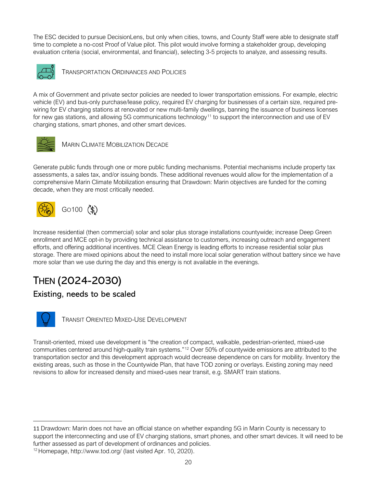The ESC decided to pursue DecisionLens, but only when cities, towns, and County Staff were able to designate staff time to complete a no-cost Proof of Value pilot. This pilot would involve forming a stakeholder group, developing evaluation criteria (social, environmental, and financial), selecting 3-5 projects to analyze, and assessing results.

![](_page_24_Picture_1.jpeg)

TRANSPORTATION ORDINANCES AND POLICIES

A mix of Government and private sector policies are needed to lower transportation emissions. For example, electric vehicle (EV) and bus-only purchase/lease policy, required EV charging for businesses of a certain size, required prewiring for EV charging stations at renovated or new multi-family dwellings, banning the issuance of business licenses for new gas stations, and allowing 5G communications technology<sup>[11](#page-24-0)</sup> to support the interconnection and use of EV charging stations, smart phones, and other smart devices.

![](_page_24_Picture_4.jpeg)

MARIN CLIMATE MOBILIZATION DECADE

Generate public funds through one or more public funding mechanisms. Potential mechanisms include property tax assessments, a sales tax, and/or issuing bonds. These additional revenues would allow for the implementation of a comprehensive Marin Climate Mobilization ensuring that Drawdown: Marin objectives are funded for the coming decade, when they are most critically needed.

![](_page_24_Picture_7.jpeg)

![](_page_24_Picture_8.jpeg)

Increase residential (then commercial) solar and solar plus storage installations countywide; increase Deep Green enrollment and MCE opt-in by providing technical assistance to customers, increasing outreach and engagement efforts, and offering additional incentives. MCE Clean Energy is leading efforts to increase residential solar plus storage. There are mixed opinions about the need to install more local solar generation without battery since we have more solar than we use during the day and this energy is not available in the evenings.

## THEN (2024-2030)

### Existing, needs to be scaled

![](_page_24_Picture_12.jpeg)

TRANSIT ORIENTED MIXED-USE DEVELOPMENT

Transit-oriented, mixed use development is "the creation of compact, walkable, pedestrian-oriented, mixed-use communities centered around high-quality train systems."[12](#page-24-1) Over 50% of countywide emissions are attributed to the transportation sector and this development approach would decrease dependence on cars for mobility. Inventory the existing areas, such as those in the Countywide Plan, that have TOD zoning or overlays. Existing zoning may need revisions to allow for increased density and mixed-uses near transit, e.g. SMART train stations.

<span id="page-24-0"></span><sup>11</sup> Drawdown: Marin does not have an official stance on whether expanding 5G in Marin County is necessary to support the interconnecting and use of EV charging stations, smart phones, and other smart devices. It will need to be further assessed as part of development of ordinances and policies.<br><sup>12</sup> Homepage, http://www.tod.org/ (last visited Apr. 10, 2020).

<span id="page-24-1"></span>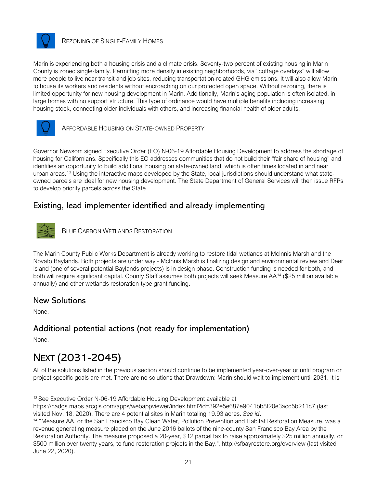![](_page_25_Picture_0.jpeg)

#### REZONING OF SINGLE-FAMILY HOMES

Marin is experiencing both a housing crisis and a climate crisis. Seventy-two percent of existing housing in Marin County is zoned single-family. Permitting more density in existing neighborhoods, via "cottage overlays" will allow more people to live near transit and job sites, reducing transportation-related GHG emissions. It will also allow Marin to house its workers and residents without encroaching on our protected open space. Without rezoning, there is limited opportunity for new housing development in Marin. Additionally, Marin's aging population is often isolated, in large homes with no support structure. This type of ordinance would have multiple benefits including increasing housing stock, connecting older individuals with others, and increasing financial health of older adults.

![](_page_25_Picture_3.jpeg)

AFFORDABLE HOUSING ON STATE-OWNED PROPERTY

Governor Newsom signed Executive Order (EO) N-06-19 Affordable Housing Development to address the shortage of housing for Californians. Specifically this EO addresses communities that do not build their "fair share of housing" and identifies an opportunity to build additional housing on state-owned land, which is often times located in and near urban areas.<sup>[13](#page-25-0)</sup> Using the interactive maps developed by the State, local jurisdictions should understand what stateowned parcels are ideal for new housing development. The State Department of General Services will then issue RFPs to develop priority parcels across the State.

### Existing, lead implementer identified and already implementing

![](_page_25_Picture_7.jpeg)

BLUE CARBON WETLANDS RESTORATION

The Marin County Public Works Department is already working to restore tidal wetlands at McInnis Marsh and the Novato Baylands. Both projects are under way - McInnis Marsh is finalizing design and environmental review and Deer Island (one of several potential Baylands projects) is in design phase. Construction funding is needed for both, and both will require significant capital. County Staff assumes both projects will seek Measure AA[14](#page-25-1) (\$25 million available annually) and other wetlands restoration-type grant funding.

### New Solutions

None.

### Additional potential actions (not ready for implementation)

None.

## NEXT (2031-2045)

All of the solutions listed in the previous section should continue to be implemented year-over-year or until program or project specific goals are met. There are no solutions that Drawdown: Marin should wait to implement until 2031. It is

<span id="page-25-0"></span><sup>&</sup>lt;sup>13</sup> See Executive Order N-06-19 Affordable Housing Development available at

https://cadgs.maps.arcgis.com/apps/webappviewer/index.html?id=392e5e687e9041bb8f20e3acc5b211c7 (last visited Nov. 18, 2020). There are 4 potential sites in Marin totaling 19.93 acres. *See id*.

<span id="page-25-1"></span><sup>14</sup> "Measure AA, or the San Francisco Bay Clean Water, Pollution Prevention and Habitat Restoration Measure, was a revenue generating measure placed on the June 2016 ballots of the nine-county San Francisco Bay Area by the Restoration Authority. The measure proposed a 20-year, \$12 parcel tax to raise approximately \$25 million annually, or \$500 million over twenty years, to fund restoration projects in the Bay.", http://sfbayrestore.org/overview (last visited June 22, 2020).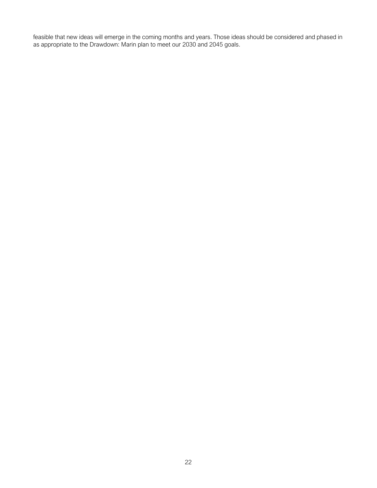feasible that new ideas will emerge in the coming months and years. Those ideas should be considered and phased in as appropriate to the Drawdown: Marin plan to meet our 2030 and 2045 goals.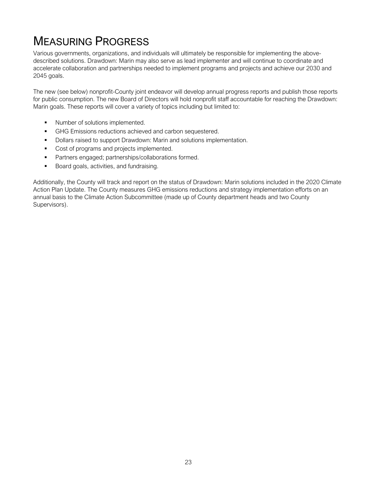# MEASURING PROGRESS

Various governments, organizations, and individuals will ultimately be responsible for implementing the abovedescribed solutions. Drawdown: Marin may also serve as lead implementer and will continue to coordinate and accelerate collaboration and partnerships needed to implement programs and projects and achieve our 2030 and 2045 goals.

The new (see below) nonprofit-County joint endeavor will develop annual progress reports and publish those reports for public consumption. The new Board of Directors will hold nonprofit staff accountable for reaching the Drawdown: Marin goals. These reports will cover a variety of topics including but limited to:

- **Number of solutions implemented.**
- GHG Emissions reductions achieved and carbon sequestered.
- Dollars raised to support Drawdown: Marin and solutions implementation.
- **Cost of programs and projects implemented.**
- Partners engaged; partnerships/collaborations formed.
- **Board goals, activities, and fundraising.**

Additionally, the County will track and report on the status of Drawdown: Marin solutions included in the 2020 Climate Action Plan Update. The County measures GHG emissions reductions and strategy implementation efforts on an annual basis to the Climate Action Subcommittee (made up of County department heads and two County Supervisors).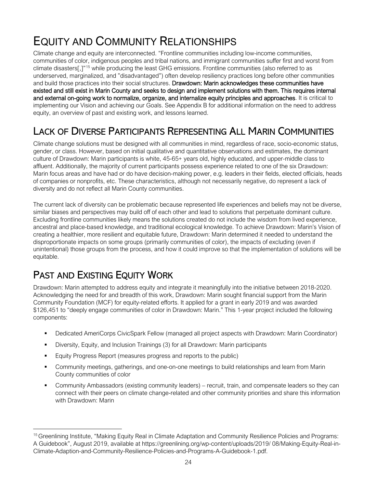# EQUITY AND COMMUNITY RELATIONSHIPS

Climate change and equity are interconnected. "Frontline communities including low-income communities, communities of color, indigenous peoples and tribal nations, and immigrant communities suffer first and worst from climate disasters[,]"[15](#page-28-0) while producing the least GHG emissions. Frontline communities (also referred to as underserved, marginalized, and "disadvantaged") often develop resiliency practices long before other communities and build those practices into their social structures. Drawdown: Marin acknowledges these communities have existed and still exist in Marin County and seeks to design and implement solutions with them. This requires internal and external on-going work to normalize, organize, and internalize equity principles and approaches. It is critical to implementing our Vision and achieving our Goals. See Appendix B for additional information on the need to address equity, an overview of past and existing work, and lessons learned.

## LACK OF DIVERSE PARTICIPANTS REPRESENTING ALL MARIN COMMUNITIES

Climate change solutions must be designed with all communities in mind, regardless of race, socio-economic status, gender, or class. However, based on initial qualitative and quantitative observations and estimates, the dominant culture of Drawdown: Marin participants is white, 45-65+ years old, highly educated, and upper-middle class to affluent. Additionally, the majority of current participants possess experience related to one of the six Drawdown: Marin focus areas and have had or do have decision-making power, e.g. leaders in their fields, elected officials, heads of companies or nonprofits, etc. These characteristics, although not necessarily negative, do represent a lack of diversity and do not reflect all Marin County communities.

The current lack of diversity can be problematic because represented life experiences and beliefs may not be diverse, similar biases and perspectives may build off of each other and lead to solutions that perpetuate dominant culture. Excluding frontline communities likely means the solutions created do not include the wisdom from lived experience, ancestral and place-based knowledge, and traditional ecological knowledge. To achieve Drawdown: Marin's Vision of creating a healthier, more resilient and equitable future, Drawdown: Marin determined it needed to understand the disproportionate impacts on some groups (primarily communities of color), the impacts of excluding (even if unintentional) those groups from the process, and how it could improve so that the implementation of solutions will be equitable.

## PAST AND EXISTING EQUITY WORK

Drawdown: Marin attempted to address equity and integrate it meaningfully into the initiative between 2018-2020. Acknowledging the need for and breadth of this work, Drawdown: Marin sought financial support from the Marin Community Foundation (MCF) for equity-related efforts. It applied for a grant in early 2019 and was awarded \$126,451 to "deeply engage communities of color in Drawdown: Marin." This 1-year project included the following components:

- Dedicated AmeriCorps CivicSpark Fellow (managed all project aspects with Drawdown: Marin Coordinator)
- Diversity, Equity, and Inclusion Trainings (3) for all Drawdown: Marin participants
- **Equity Progress Report (measures progress and reports to the public)**
- Community meetings, gatherings, and one-on-one meetings to build relationships and learn from Marin County communities of color
- Community Ambassadors (existing community leaders) recruit, train, and compensate leaders so they can connect with their peers on climate change-related and other community priorities and share this information with Drawdown: Marin

<span id="page-28-0"></span><sup>&</sup>lt;sup>15</sup> Greenlining Institute, "Making Equity Real in Climate Adaptation and Community Resilience Policies and Programs: A Guidebook", August 2019, available at https://greenlining.org/wp-content/uploads/2019/ 08/Making-Equity-Real-in-Climate-Adaption-and-Community-Resilience-Policies-and-Programs-A-Guidebook-1.pdf.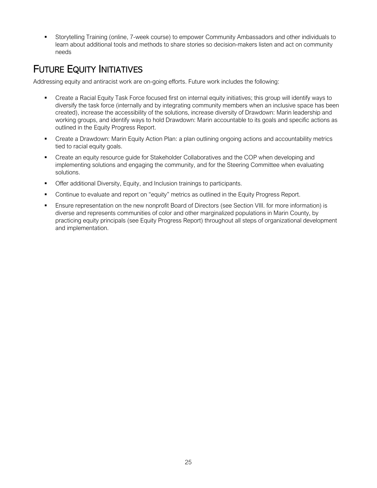Storytelling Training (online, 7-week course) to empower Community Ambassadors and other individuals to learn about additional tools and methods to share stories so decision-makers listen and act on community needs

## FUTURE EQUITY INITIATIVES

Addressing equity and antiracist work are on-going efforts. Future work includes the following:

- Create a Racial Equity Task Force focused first on internal equity initiatives; this group will identify ways to diversify the task force (internally and by integrating community members when an inclusive space has been created), increase the accessibility of the solutions, increase diversity of Drawdown: Marin leadership and working groups, and identify ways to hold Drawdown: Marin accountable to its goals and specific actions as outlined in the Equity Progress Report.
- **•** Create a Drawdown: Marin Equity Action Plan: a plan outlining ongoing actions and accountability metrics tied to racial equity goals.
- **•** Create an equity resource quide for Stakeholder Collaboratives and the COP when developing and implementing solutions and engaging the community, and for the Steering Committee when evaluating solutions.
- Offer additional Diversity, Equity, and Inclusion trainings to participants.
- **Continue to evaluate and report on "equity" metrics as outlined in the Equity Progress Report.**
- Ensure representation on the new nonprofit Board of Directors (see Section VIII. for more information) is diverse and represents communities of color and other marginalized populations in Marin County, by practicing equity principals (see Equity Progress Report) throughout all steps of organizational development and implementation.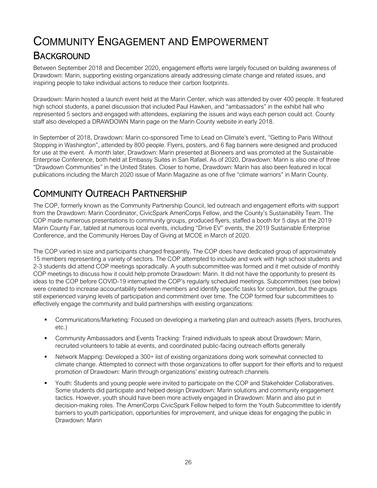## COMMUNITY ENGAGEMENT AND EMPOWERMENT **BACKGROUND**

Between September 2018 and December 2020, engagement efforts were largely focused on building awareness of Drawdown: Marin, supporting existing organizations already addressing climate change and related issues, and inspiring people to take individual actions to reduce their carbon footprints.

Drawdown: Marin hosted a launch event held at the Marin Center, which was attended by over 400 people. It featured high school students, a panel discussion that included Paul Hawken, and "ambassadors" in the exhibit hall who represented 5 sectors and engaged with attendees, explaining the issues and ways each person could act. County staff also developed a DRAWDOWN Marin page on the Marin County website in early 2018.

In September of 2018, Drawdown: Marin co-sponsored Time to Lead on Climate's event, "Getting to Paris Without Stopping in Washington", attended by 800 people. Flyers, posters, and 6 flag banners were designed and produced for use at the event. A month later, Drawdown: Marin presented at Bioneers and was promoted at the Sustainable Enterprise Conference, both held at Embassy Suites in San Rafael. As of 2020, Drawdown: Marin is also one of three "Drawdown Communities" in the United States. Closer to home, Drawdown: Marin has also been featured in local publications including the March 2020 issue of Marin Magazine as one of five "climate warriors" in Marin County.

## COMMUNITY OUTREACH PARTNERSHIP

The COP, formerly known as the Community Partnership Council, led outreach and engagement efforts with support from the Drawdown: Marin Coordinator, CivicSpark AmeriCorps Fellow, and the County's Sustainability Team. The COP made numerous presentations to community groups, produced flyers, staffed a booth for 5 days at the 2019 Marin County Fair, tabled at numerous local events, including "Drive EV" events, the 2019 Sustainable Enterprise Conference, and the Community Heroes Day of Giving at MCOE in March of 2020.

The COP varied in size and participants changed frequently. The COP does have dedicated group of approximately 15 members representing a variety of sectors. The COP attempted to include and work with high school students and 2-3 students did attend COP meetings sporadically. A youth subcommittee was formed and it met outside of monthly COP meetings to discuss how it could help promote Drawdown: Marin. It did not have the opportunity to present its ideas to the COP before COVID-19 interrupted the COP's regularly scheduled meetings. Subcommittees (see below) were created to increase accountability between members and identify specific tasks for completion, but the groups still experienced varying levels of participation and commitment over time. The COP formed four subcommittees to effectively engage the community and build partnerships with existing organizations:

- Communications/Marketing*:* Focused on developing a marketing plan and outreach assets (flyers, brochures, etc.)
- Community Ambassadors and Events Tracking: Trained individuals to speak about Drawdown: Marin, recruited volunteers to table at events, and coordinated public-facing outreach efforts generally
- Network Mapping: Developed a 300+ list of existing organizations doing work somewhat connected to climate change. Attempted to connect with those organizations to offer support for their efforts and to request promotion of Drawdown: Marin through organizations' existing outreach channels
- Youth: Students and young people were invited to participate on the COP and Stakeholder Collaboratives. Some students did participate and helped design Drawdown: Marin solutions and community engagement tactics. However, youth should have been more actively engaged in Drawdown: Marin and also put in decision-making roles. The AmeriCorps CivicSpark Fellow helped to form the Youth Subcommittee to identify barriers to youth participation, opportunities for improvement, and unique ideas for engaging the public in Drawdown: Marin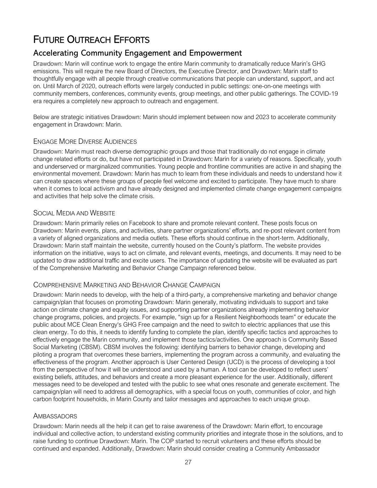## FUTURE OUTREACH EFFORTS

### Accelerating Community Engagement and Empowerment

Drawdown: Marin will continue work to engage the entire Marin community to dramatically reduce Marin's GHG emissions. This will require the new Board of Directors, the Executive Director, and Drawdown: Marin staff to thoughtfully engage with all people through creative communications that people can understand, support, and act on. Until March of 2020, outreach efforts were largely conducted in public settings: one-on-one meetings with community members, conferences, community events, group meetings, and other public gatherings. The COVID-19 era requires a completely new approach to outreach and engagement.

Below are strategic initiatives Drawdown: Marin should implement between now and 2023 to accelerate community engagement in Drawdown: Marin.

#### ENGAGE MORE DIVERSE AUDIENCES

Drawdown: Marin must reach diverse demographic groups and those that traditionally do not engage in climate change related efforts or do, but have not participated in Drawdown: Marin for a variety of reasons. Specifically, youth and underserved or marginalized communities. Young people and frontline communities are active in and shaping the environmental movement. Drawdown: Marin has much to learn from these individuals and needs to understand how it can create spaces where these groups of people feel welcome and excited to participate. They have much to share when it comes to local activism and have already designed and implemented climate change engagement campaigns and activities that help solve the climate crisis.

#### SOCIAL MEDIA AND WEBSITE

Drawdown: Marin primarily relies on Facebook to share and promote relevant content. These posts focus on Drawdown: Marin events, plans, and activities, share partner organizations' efforts, and re-post relevant content from a variety of aligned organizations and media outlets. These efforts should continue in the short-term. Additionally, Drawdown: Marin staff maintain the website, currently housed on the County's platform. The website provides information on the initiative, ways to act on climate, and relevant events, meetings, and documents. It may need to be updated to draw additional traffic and excite users. The importance of updating the website will be evaluated as part of the Comprehensive Marketing and Behavior Change Campaign referenced below.

#### COMPREHENSIVE MARKETING AND BEHAVIOR CHANGE CAMPAIGN

Drawdown: Marin needs to develop, with the help of a third-party, a comprehensive marketing and behavior change campaign/plan that focuses on promoting Drawdown: Marin generally, motivating individuals to support and take action on climate change and equity issues, and supporting partner organizations already implementing behavior change programs, policies, and projects. For example, "sign up for a Resilient Neighborhoods team" or educate the public about MCE Clean Energy's GHG Free campaign and the need to switch to electric appliances that use this clean energy. To do this, it needs to identify funding to complete the plan, identify specific tactics and approaches to effectively engage the Marin community, and implement those tactics/activities. One approach is Community Based Social Marketing (CBSM). CBSM involves the following: identifying barriers to behavior change, developing and piloting a program that overcomes these barriers, implementing the program across a community, and evaluating the effectiveness of the program. Another approach is User Centered Design (UCD) is the process of developing a tool from the perspective of how it will be understood and used by a human. A tool can be developed to reflect users' existing beliefs, attitudes, and behaviors and create a more pleasant experience for the user. Additionally, different messages need to be developed and tested with the public to see what ones resonate and generate excitement. The campaign/plan will need to address all demographics, with a special focus on youth, communities of color, and high carbon footprint households, in Marin County and tailor messages and approaches to each unique group.

#### **AMBASSADORS**

Drawdown: Marin needs all the help it can get to raise awareness of the Drawdown: Marin effort, to encourage individual and collective action, to understand existing community priorities and integrate those in the solutions, and to raise funding to continue Drawdown: Marin. The COP started to recruit volunteers and these efforts should be continued and expanded. Additionally, Drawdown: Marin should consider creating a Community Ambassador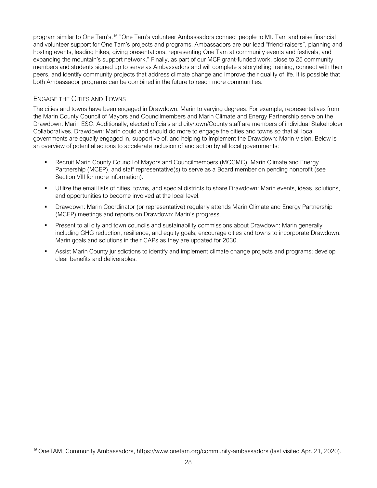program similar to One Tam's.[16](#page-32-0) "One Tam's volunteer Ambassadors connect people to Mt. Tam and raise financial and volunteer support for One Tam's projects and programs. Ambassadors are our lead "friend-raisers", planning and hosting events, leading hikes, giving presentations, representing One Tam at community events and festivals, and expanding the mountain's support network." Finally, as part of our MCF grant-funded work, close to 25 community members and students signed up to serve as Ambassadors and will complete a storytelling training, connect with their peers, and identify community projects that address climate change and improve their quality of life. It is possible that both Ambassador programs can be combined in the future to reach more communities.

### ENGAGE THE CITIES AND TOWNS

The cities and towns have been engaged in Drawdown: Marin to varying degrees. For example, representatives from the Marin County Council of Mayors and Councilmembers and Marin Climate and Energy Partnership serve on the Drawdown: Marin ESC. Additionally, elected officials and city/town/County staff are members of individual Stakeholder Collaboratives. Drawdown: Marin could and should do more to engage the cities and towns so that all local governments are equally engaged in, supportive of, and helping to implement the Drawdown: Marin Vision. Below is an overview of potential actions to accelerate inclusion of and action by all local governments:

- Recruit Marin County Council of Mayors and Councilmembers (MCCMC), Marin Climate and Energy Partnership (MCEP), and staff representative(s) to serve as a Board member on pending nonprofit (see Section VIII for more information).
- Utilize the email lists of cities, towns, and special districts to share Drawdown: Marin events, ideas, solutions, and opportunities to become involved at the local level.
- Drawdown: Marin Coordinator (or representative) regularly attends Marin Climate and Energy Partnership (MCEP) meetings and reports on Drawdown: Marin's progress.
- Present to all city and town councils and sustainability commissions about Drawdown: Marin generally including GHG reduction, resilience, and equity goals; encourage cities and towns to incorporate Drawdown: Marin goals and solutions in their CAPs as they are updated for 2030.
- Assist Marin County jurisdictions to identify and implement climate change projects and programs; develop clear benefits and deliverables.

<span id="page-32-0"></span><sup>16</sup> OneTAM, Community Ambassadors, https://www.onetam.org/community-ambassadors (last visited Apr. 21, 2020).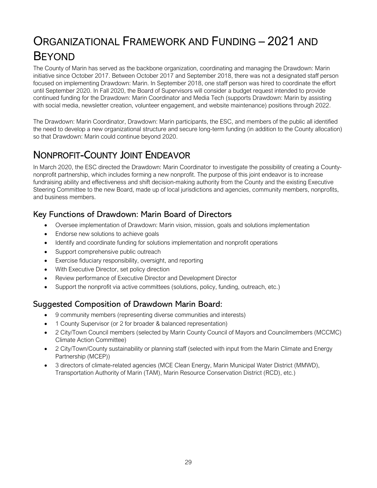# ORGANIZATIONAL FRAMEWORK AND FUNDING – 2021 AND BEYOND

The County of Marin has served as the backbone organization, coordinating and managing the Drawdown: Marin initiative since October 2017. Between October 2017 and September 2018, there was not a designated staff person focused on implementing Drawdown: Marin. In September 2018, one staff person was hired to coordinate the effort until September 2020. In Fall 2020, the Board of Supervisors will consider a budget request intended to provide continued funding for the Drawdown: Marin Coordinator and Media Tech (supports Drawdown: Marin by assisting with social media, newsletter creation, volunteer engagement, and website maintenance) positions through 2022.

The Drawdown: Marin Coordinator, Drawdown: Marin participants, the ESC, and members of the public all identified the need to develop a new organizational structure and secure long-term funding (in addition to the County allocation) so that Drawdown: Marin could continue beyond 2020.

## NONPROFIT-COUNTY JOINT ENDEAVOR

In March 2020, the ESC directed the Drawdown: Marin Coordinator to investigate the possibility of creating a Countynonprofit partnership, which includes forming a new nonprofit. The purpose of this joint endeavor is to increase fundraising ability and effectiveness and shift decision-making authority from the County and the existing Executive Steering Committee to the new Board, made up of local jurisdictions and agencies, community members, nonprofits, and business members.

## Key Functions of Drawdown: Marin Board of Directors

- Oversee implementation of Drawdown: Marin vision, mission, goals and solutions implementation
- Endorse new solutions to achieve goals
- Identify and coordinate funding for solutions implementation and nonprofit operations
- Support comprehensive public outreach
- Exercise fiduciary responsibility, oversight, and reporting
- With Executive Director, set policy direction
- Review performance of Executive Director and Development Director
- Support the nonprofit via active committees (solutions, policy, funding, outreach, etc.)

### Suggested Composition of Drawdown Marin Board:

- 9 community members (representing diverse communities and interests)
- 1 County Supervisor (or 2 for broader & balanced representation)
- 2 City/Town Council members (selected by Marin County Council of Mayors and Councilmembers (MCCMC) Climate Action Committee)
- 2 City/Town/County sustainability or planning staff (selected with input from the Marin Climate and Energy Partnership (MCEP))
- 3 directors of climate-related agencies (MCE Clean Energy, Marin Municipal Water District (MMWD), Transportation Authority of Marin (TAM), Marin Resource Conservation District (RCD), etc.)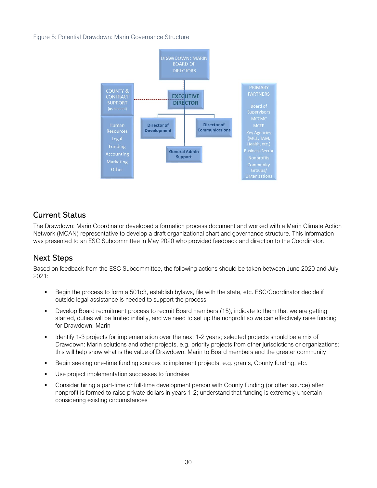Figure 5: Potential Drawdown: Marin Governance Structure

![](_page_34_Figure_1.jpeg)

### Current Status

The Drawdown: Marin Coordinator developed a formation process document and worked with a Marin Climate Action Network (MCAN) representative to develop a draft organizational chart and governance structure. This information was presented to an ESC Subcommittee in May 2020 who provided feedback and direction to the Coordinator.

### Next Steps

Based on feedback from the ESC Subcommittee, the following actions should be taken between June 2020 and July 2021:

- Begin the process to form a 501c3, establish bylaws, file with the state, etc. ESC/Coordinator decide if outside legal assistance is needed to support the process
- Develop Board recruitment process to recruit Board members (15); indicate to them that we are getting started, duties will be limited initially, and we need to set up the nonprofit so we can effectively raise funding for Drawdown: Marin
- Identify 1-3 projects for implementation over the next 1-2 years; selected projects should be a mix of Drawdown: Marin solutions and other projects, e.g. priority projects from other jurisdictions or organizations; this will help show what is the value of Drawdown: Marin to Board members and the greater community
- Begin seeking one-time funding sources to implement projects, e.g. grants, County funding, etc.
- Use project implementation successes to fundraise
- Consider hiring a part-time or full-time development person with County funding (or other source) after nonprofit is formed to raise private dollars in years 1-2; understand that funding is extremely uncertain considering existing circumstances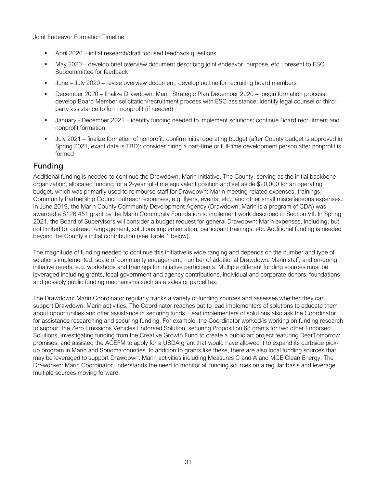Joint Endeavor Formation Timeline

- April 2020 initial research/draft focused feedback questions
- May 2020 develop brief overview document describing joint endeavor, purpose, etc.; present to ESC Subcommittee for feedback
- June July 2020 revise overview document; develop outline for recruiting board members
- December 2020 finalize Drawdown: Marin Strategic Plan December 2020 begin formation process; develop Board Member solicitation/recruitment process with ESC assistance; identify legal counsel or thirdparty assistance to form nonprofit (if needed)
- January December 2021 identify funding needed to implement solutions; continue Board recruitment and nonprofit formation
- July 2021 finalize formation of nonprofit; confirm initial operating budget (after County budget is approved in Spring 2021, exact date is TBD); consider hiring a part-time or full-time development person after nonprofit is formed

### Funding

Additional funding is needed to continue the Drawdown: Marin initiative. The County, serving as the initial backbone organization, allocated funding for a 2-year full-time equivalent position and set aside \$20,000 for an operating budget, which was primarily used to reimburse staff for Drawdown: Marin meeting related expenses, trainings, Community Partnership Council outreach expenses, e.g. flyers, events, etc., and other small miscellaneous expenses. In June 2019, the Marin County Community Development Agency (Drawdown: Marin is a program of CDA) was awarded a \$126,451 grant by the Marin Community Foundation to implement work described in Section VII. In Spring 2021, the Board of Supervisors will consider a budget request for general Drawdown: Marin expenses, including, but not limited to: outreach/engagement, solutions implementation, participant trainings, etc. Additional funding is needed beyond the County's initial contribution (see Table 1 below).

The magnitude of funding needed to continue this initiative is wide ranging and depends on the number and type of solutions implemented, scale of community engagement, number of additional Drawdown: Marin staff, and on-going initiative needs, e.g. workshops and trainings for initiative participants. Multiple different funding sources must be leveraged including grants, local government and agency contributions, individual and corporate donors, foundations, and possibly public funding mechanisms such as a sales or parcel tax.

The Drawdown: Marin Coordinator regularly tracks a variety of funding sources and assesses whether they can support Drawdown: Marin activities. The Coordinator reaches out to lead implementers of solutions to educate them about opportunities and offer assistance in securing funds. Lead implementers of solutions also ask the Coordinator for assistance researching and securing funding. For example, the Coordinator worked/is working on funding research to support the Zero Emissions Vehicles Endorsed Solution, securing Proposition 68 grants for two other Endorsed Solutions, investigating funding from the Creative Growth Fund to create a public art project featuring DearTomorrow promises, and assisted the ACEFM to apply for a USDA grant that would have allowed it to expand its curbside pickup program in Marin and Sonoma counties. In addition to grants like these, there are also local funding sources that may be leveraged to support Drawdown: Marin activities including Measures C and A and MCE Clean Energy. The Drawdown: Marin Coordinator understands the need to monitor all funding sources on a regular basis and leverage multiple sources moving forward.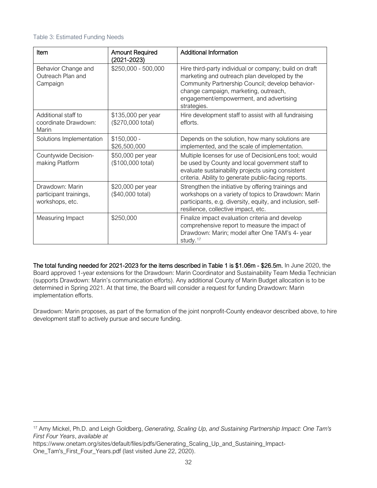#### Table 3: Estimated Funding Needs

| Item                                                         | <b>Amount Required</b><br>$(2021 - 2023)$ | <b>Additional Information</b>                                                                                                                                                                                                                                 |
|--------------------------------------------------------------|-------------------------------------------|---------------------------------------------------------------------------------------------------------------------------------------------------------------------------------------------------------------------------------------------------------------|
| Behavior Change and<br>Outreach Plan and<br>Campaign         | \$250,000 - 500,000                       | Hire third-party individual or company; build on draft<br>marketing and outreach plan developed by the<br>Community Partnership Council; develop behavior-<br>change campaign, marketing, outreach,<br>engagement/empowerment, and advertising<br>strategies. |
| Additional staff to<br>coordinate Drawdown:<br>Marin         | \$135,000 per year<br>(\$270,000 total)   | Hire development staff to assist with all fundraising<br>efforts.                                                                                                                                                                                             |
| Solutions Implementation                                     | $$150,000 -$<br>\$26,500,000              | Depends on the solution, how many solutions are<br>implemented, and the scale of implementation.                                                                                                                                                              |
| Countywide Decision-<br>making Platform                      | \$50,000 per year<br>(\$100,000 total)    | Multiple licenses for use of DecisionLens tool; would<br>be used by County and local government staff to<br>evaluate sustainability projects using consistent<br>criteria. Ability to generate public-facing reports.                                         |
| Drawdown: Marin<br>participant trainings,<br>workshops, etc. | \$20,000 per year<br>(\$40,000 total)     | Strengthen the initiative by offering trainings and<br>workshops on a variety of topics to Drawdown: Marin<br>participants, e.g. diversity, equity, and inclusion, self-<br>resilience, collective impact, etc.                                               |
| Measuring Impact                                             | \$250,000                                 | Finalize impact evaluation criteria and develop<br>comprehensive report to measure the impact of<br>Drawdown: Marin; model after One TAM's 4- year<br>study. <sup>17</sup>                                                                                    |

The total funding needed for 2021-2023 for the items described in Table 1 is \$1.06m - \$26.5m. In June 2020, the Board approved 1-year extensions for the Drawdown: Marin Coordinator and Sustainability Team Media Technician (supports Drawdown: Marin's communication efforts). Any additional County of Marin Budget allocation is to be determined in Spring 2021. At that time, the Board will consider a request for funding Drawdown: Marin implementation efforts.

Drawdown: Marin proposes, as part of the formation of the joint nonprofit-County endeavor described above, to hire development staff to actively pursue and secure funding.

<span id="page-36-0"></span><sup>17</sup> Amy Mickel, Ph.D. and Leigh Goldberg, *Generating, Scaling Up, and Sustaining Partnership Impact: One Tam's First Four Years*, *available at*

https://www.onetam.org/sites/default/files/pdfs/Generating\_Scaling\_Up\_and\_Sustaining\_Impact-One Tam's First Four Years.pdf (last visited June 22, 2020).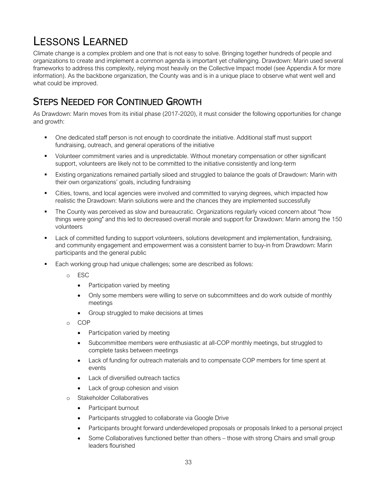# LESSONS LEARNED

Climate change is a complex problem and one that is not easy to solve. Bringing together hundreds of people and organizations to create and implement a common agenda is important yet challenging. Drawdown: Marin used several frameworks to address this complexity, relying most heavily on the Collective Impact model (see Appendix A for more information). As the backbone organization, the County was and is in a unique place to observe what went well and what could be improved.

## STEPS NEEDED FOR CONTINUED GROWTH

As Drawdown: Marin moves from its initial phase (2017-2020), it must consider the following opportunities for change and growth:

- One dedicated staff person is not enough to coordinate the initiative. Additional staff must support fundraising, outreach, and general operations of the initiative
- Volunteer commitment varies and is unpredictable. Without monetary compensation or other significant support, volunteers are likely not to be committed to the initiative consistently and long-term
- Existing organizations remained partially siloed and struggled to balance the goals of Drawdown: Marin with their own organizations' goals, including fundraising
- Cities, towns, and local agencies were involved and committed to varying degrees, which impacted how realistic the Drawdown: Marin solutions were and the chances they are implemented successfully
- The County was perceived as slow and bureaucratic. Organizations regularly voiced concern about "how things were going" and this led to decreased overall morale and support for Drawdown: Marin among the 150 volunteers
- Lack of committed funding to support volunteers, solutions development and implementation, fundraising, and community engagement and empowerment was a consistent barrier to buy-in from Drawdown: Marin participants and the general public
- **Each working group had unique challenges; some are described as follows:** 
	- o ESC
		- Participation varied by meeting
		- Only some members were willing to serve on subcommittees and do work outside of monthly meetings
		- Group struggled to make decisions at times
	- o COP
		- Participation varied by meeting
		- Subcommittee members were enthusiastic at all-COP monthly meetings, but struggled to complete tasks between meetings
		- Lack of funding for outreach materials and to compensate COP members for time spent at events
		- Lack of diversified outreach tactics
		- Lack of group cohesion and vision
	- o Stakeholder Collaboratives
		- Participant burnout
		- Participants struggled to collaborate via Google Drive
		- Participants brought forward underdeveloped proposals or proposals linked to a personal project
		- Some Collaboratives functioned better than others those with strong Chairs and small group leaders flourished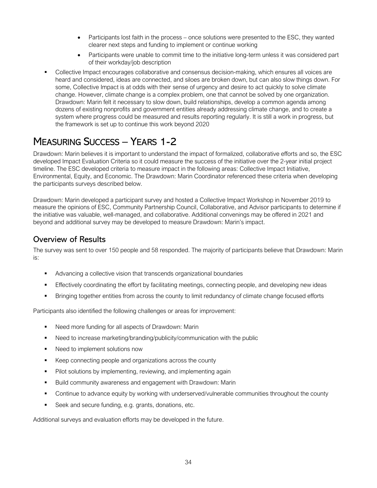- Participants lost faith in the process once solutions were presented to the ESC, they wanted clearer next steps and funding to implement or continue working
- Participants were unable to commit time to the initiative long-term unless it was considered part of their workday/job description
- Collective Impact encourages collaborative and consensus decision-making, which ensures all voices are heard and considered, ideas are connected, and siloes are broken down, but can also slow things down. For some, Collective Impact is at odds with their sense of urgency and desire to act quickly to solve climate change. However, climate change is a complex problem, one that cannot be solved by one organization. Drawdown: Marin felt it necessary to slow down, build relationships, develop a common agenda among dozens of existing nonprofits and government entities already addressing climate change, and to create a system where progress could be measured and results reporting regularly. It is still a work in progress, but the framework is set up to continue this work beyond 2020

## MEASURING SUCCESS – YEARS 1-2

Drawdown: Marin believes it is important to understand the impact of formalized, collaborative efforts and so, the ESC developed Impact Evaluation Criteria so it could measure the success of the initiative over the 2-year initial project timeline. The ESC developed criteria to measure impact in the following areas: Collective Impact Initiative, Environmental, Equity, and Economic. The Drawdown: Marin Coordinator referenced these criteria when developing the participants surveys described below.

Drawdown: Marin developed a participant survey and hosted a Collective Impact Workshop in November 2019 to measure the opinions of ESC, Community Partnership Council, Collaborative, and Advisor participants to determine if the initiative was valuable, well-managed, and collaborative. Additional convenings may be offered in 2021 and beyond and additional survey may be developed to measure Drawdown: Marin's impact.

### Overview of Results

The survey was sent to over 150 people and 58 responded. The majority of participants believe that Drawdown: Marin is:

- Advancing a collective vision that transcends organizational boundaries
- Effectively coordinating the effort by facilitating meetings, connecting people, and developing new ideas
- Bringing together entities from across the county to limit redundancy of climate change focused efforts

Participants also identified the following challenges or areas for improvement:

- Need more funding for all aspects of Drawdown: Marin
- Need to increase marketing/branding/publicity/communication with the public
- Need to implement solutions now
- Keep connecting people and organizations across the county
- Pilot solutions by implementing, reviewing, and implementing again
- **Build community awareness and engagement with Drawdown: Marin**
- Continue to advance equity by working with underserved/vulnerable communities throughout the county
- Seek and secure funding, e.g. grants, donations, etc.

Additional surveys and evaluation efforts may be developed in the future.